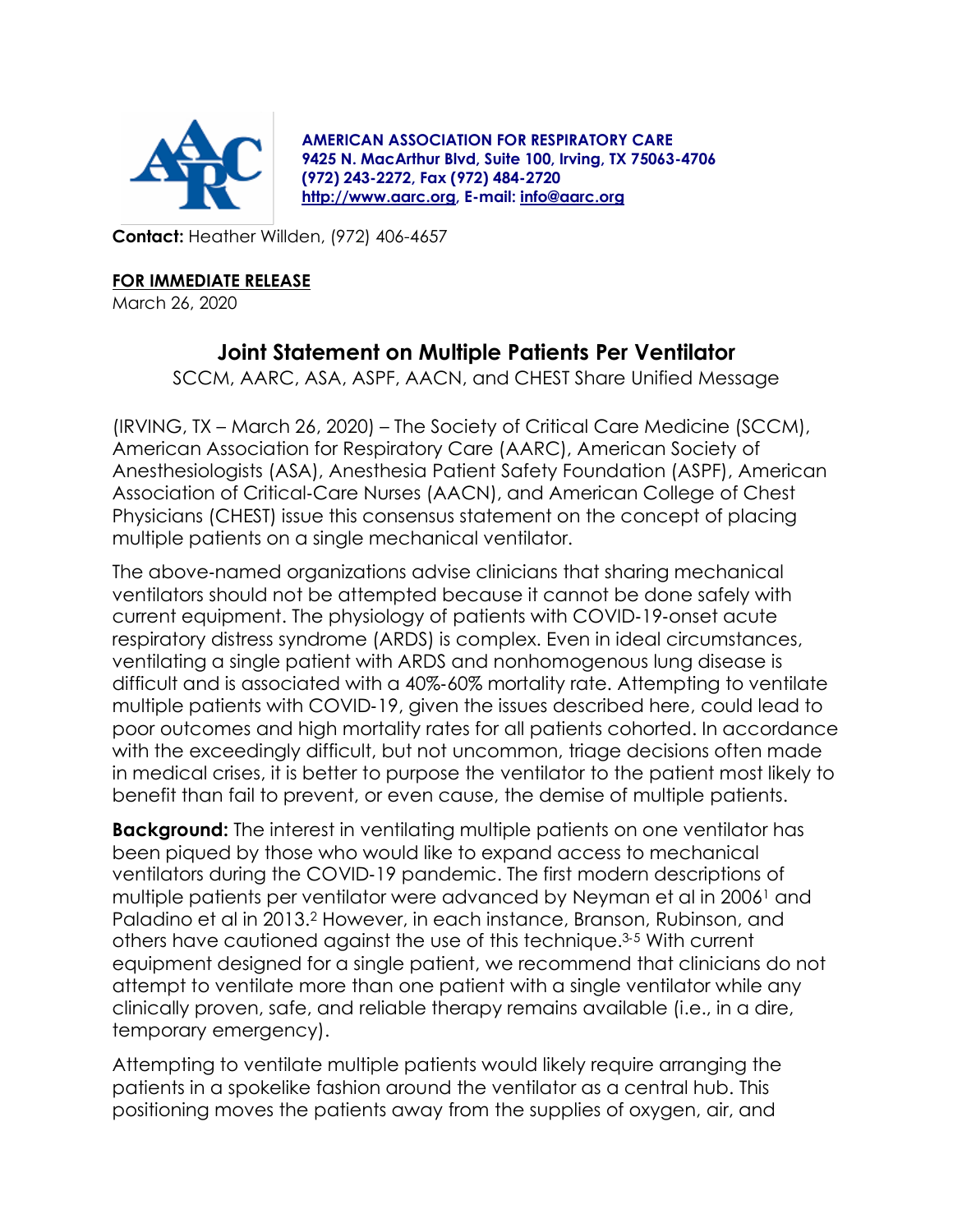

**AMERICAN ASSOCIATION FOR RESPIRATORY CARE 9425 N. MacArthur Blvd, Suite 100, Irving, TX 75063-4706 (972) 243-2272, Fax (972) 484-2720 [http://www.aarc.org,](http://www.aarc.org/) E-mail: [info@aarc.org](mailto:info@aarc.org)**

**Contact:** Heather Willden, (972) 406-4657

## **FOR IMMEDIATE RELEASE**

March 26, 2020

## **Joint Statement on Multiple Patients Per Ventilator**

SCCM, AARC, ASA, ASPF, AACN, and CHEST Share Unified Message

(IRVING, TX – March 26, 2020) – The Society of Critical Care Medicine (SCCM), American Association for Respiratory Care (AARC), American Society of Anesthesiologists (ASA), Anesthesia Patient Safety Foundation (ASPF), American Association of Critical‐Care Nurses (AACN), and American College of Chest Physicians (CHEST) issue this consensus statement on the concept of placing multiple patients on a single mechanical ventilator.

The above‐named organizations advise clinicians that sharing mechanical ventilators should not be attempted because it cannot be done safely with current equipment. The physiology of patients with COVID‐19‐onset acute respiratory distress syndrome (ARDS) is complex. Even in ideal circumstances, ventilating a single patient with ARDS and nonhomogenous lung disease is difficult and is associated with a 40%‐60% mortality rate. Attempting to ventilate multiple patients with COVID‐19, given the issues described here, could lead to poor outcomes and high mortality rates for all patients cohorted. In accordance with the exceedingly difficult, but not uncommon, triage decisions often made in medical crises, it is better to purpose the ventilator to the patient most likely to benefit than fail to prevent, or even cause, the demise of multiple patients.

**Background:** The interest in ventilating multiple patients on one ventilator has been piqued by those who would like to expand access to mechanical ventilators during the COVID‐19 pandemic. The first modern descriptions of multiple patients per ventilator were advanced by Neyman et al in 2006<sup>1</sup> and Paladino et al in 2013.<sup>2</sup> However, in each instance, Branson, Rubinson, and others have cautioned against the use of this technique.<sup>3</sup>‐<sup>5</sup> With current equipment designed for a single patient, we recommend that clinicians do not attempt to ventilate more than one patient with a single ventilator while any clinically proven, safe, and reliable therapy remains available (i.e., in a dire, temporary emergency).

Attempting to ventilate multiple patients would likely require arranging the patients in a spokelike fashion around the ventilator as a central hub. This positioning moves the patients away from the supplies of oxygen, air, and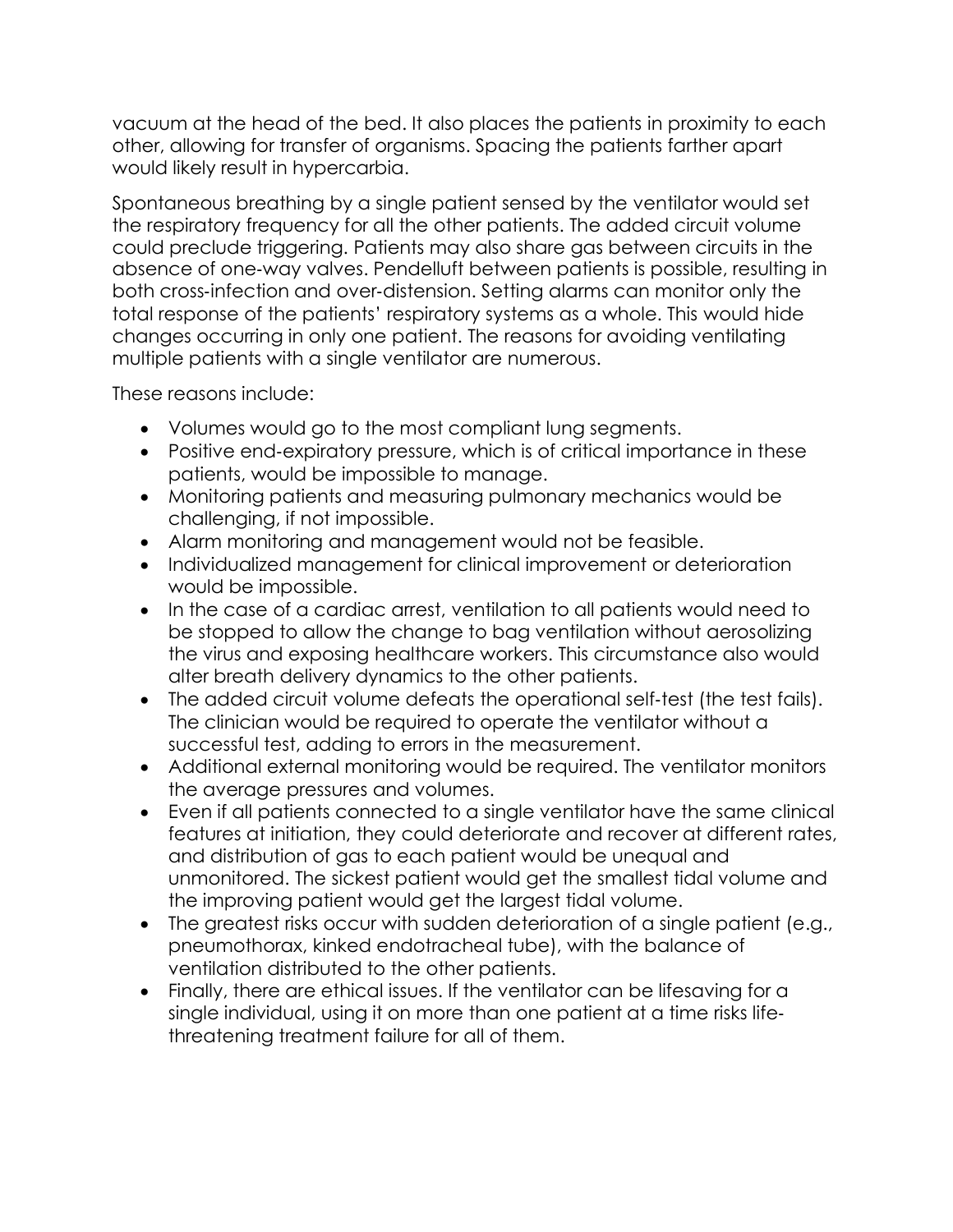vacuum at the head of the bed. It also places the patients in proximity to each other, allowing for transfer of organisms. Spacing the patients farther apart would likely result in hypercarbia.

Spontaneous breathing by a single patient sensed by the ventilator would set the respiratory frequency for all the other patients. The added circuit volume could preclude triggering. Patients may also share gas between circuits in the absence of one‐way valves. Pendelluft between patients is possible, resulting in both cross‐infection and over‐distension. Setting alarms can monitor only the total response of the patients' respiratory systems as a whole. This would hide changes occurring in only one patient. The reasons for avoiding ventilating multiple patients with a single ventilator are numerous.

These reasons include:

- Volumes would go to the most compliant lung segments.
- Positive end-expiratory pressure, which is of critical importance in these patients, would be impossible to manage.
- Monitoring patients and measuring pulmonary mechanics would be challenging, if not impossible.
- Alarm monitoring and management would not be feasible.
- Individualized management for clinical improvement or deterioration would be impossible.
- In the case of a cardiac arrest, ventilation to all patients would need to be stopped to allow the change to bag ventilation without aerosolizing the virus and exposing healthcare workers. This circumstance also would alter breath delivery dynamics to the other patients.
- The added circuit volume defeats the operational self-test (the test fails). The clinician would be required to operate the ventilator without a successful test, adding to errors in the measurement.
- Additional external monitoring would be required. The ventilator monitors the average pressures and volumes.
- Even if all patients connected to a single ventilator have the same clinical features at initiation, they could deteriorate and recover at different rates, and distribution of gas to each patient would be unequal and unmonitored. The sickest patient would get the smallest tidal volume and the improving patient would get the largest tidal volume.
- The greatest risks occur with sudden deterioration of a single patient (e.g., pneumothorax, kinked endotracheal tube), with the balance of ventilation distributed to the other patients.
- Finally, there are ethical issues. If the ventilator can be lifesaving for a single individual, using it on more than one patient at a time risks life‐ threatening treatment failure for all of them.